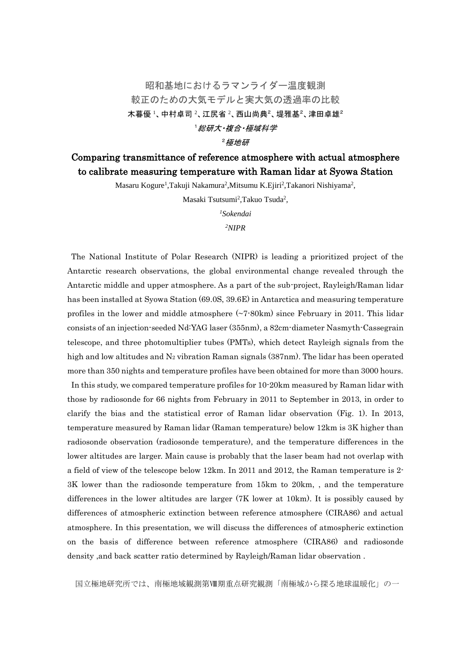## 昭和基地におけるラマンライダー温度観測 較正のための大気モデルと実大気の透過率の比較 木暮優 1、中村卓司 2、江尻省 2、西山尚典 2、堤雅基 2、津田卓雄 2 <sup>1</sup>総研大・複合・極域科学

<sup>2</sup>極地研

## Comparing transmittance of reference atmosphere with actual atmosphere to calibrate measuring temperature with Raman lidar at Syowa Station

Masaru Kogure<sup>1</sup>,Takuji Nakamura<sup>2</sup>,Mitsumu K.Ejiri<sup>2</sup>,Takanori Nishiyama<sup>2</sup>,

Masaki Tsutsumi<sup>2</sup>, Takuo Tsuda<sup>2</sup>,

*<sup>1</sup>Sokendai*

*<sup>2</sup>NIPR*

The National Institute of Polar Research (NIPR) is leading a prioritized project of the Antarctic research observations, the global environmental change revealed through the Antarctic middle and upper atmosphere. As a part of the sub-project, Rayleigh/Raman lidar has been installed at Syowa Station (69.0S, 39.6E) in Antarctica and measuring temperature profiles in the lower and middle atmosphere  $(\sim 7.80 \text{km})$  since February in 2011. This lidar consists of an injection-seeded Nd:YAG laser (355nm), a 82cm-diameter Nasmyth-Cassegrain telescope, and three photomultiplier tubes (PMTs), which detect Rayleigh signals from the high and low altitudes and  $N_2$  vibration Raman signals (387nm). The lidar has been operated more than 350 nights and temperature profiles have been obtained for more than 3000 hours.

In this study, we compared temperature profiles for 10-20km measured by Raman lidar with those by radiosonde for 66 nights from February in 2011 to September in 2013, in order to clarify the bias and the statistical error of Raman lidar observation (Fig. 1). In 2013, temperature measured by Raman lidar (Raman temperature) below 12km is 3K higher than radiosonde observation (radiosonde temperature), and the temperature differences in the lower altitudes are larger. Main cause is probably that the laser beam had not overlap with a field of view of the telescope below 12km. In 2011 and 2012, the Raman temperature is 2- 3K lower than the radiosonde temperature from 15km to 20km, , and the temperature differences in the lower altitudes are larger (7K lower at 10km). It is possibly caused by differences of atmospheric extinction between reference atmosphere (CIRA86) and actual atmosphere. In this presentation, we will discuss the differences of atmospheric extinction on the basis of difference between reference atmosphere (CIRA86) and radiosonde density ,and back scatter ratio determined by Rayleigh/Raman lidar observation .

国立極地研究所では、南極地域観測第Ⅷ期重点研究観測「南極域から探る地球温暖化」の一